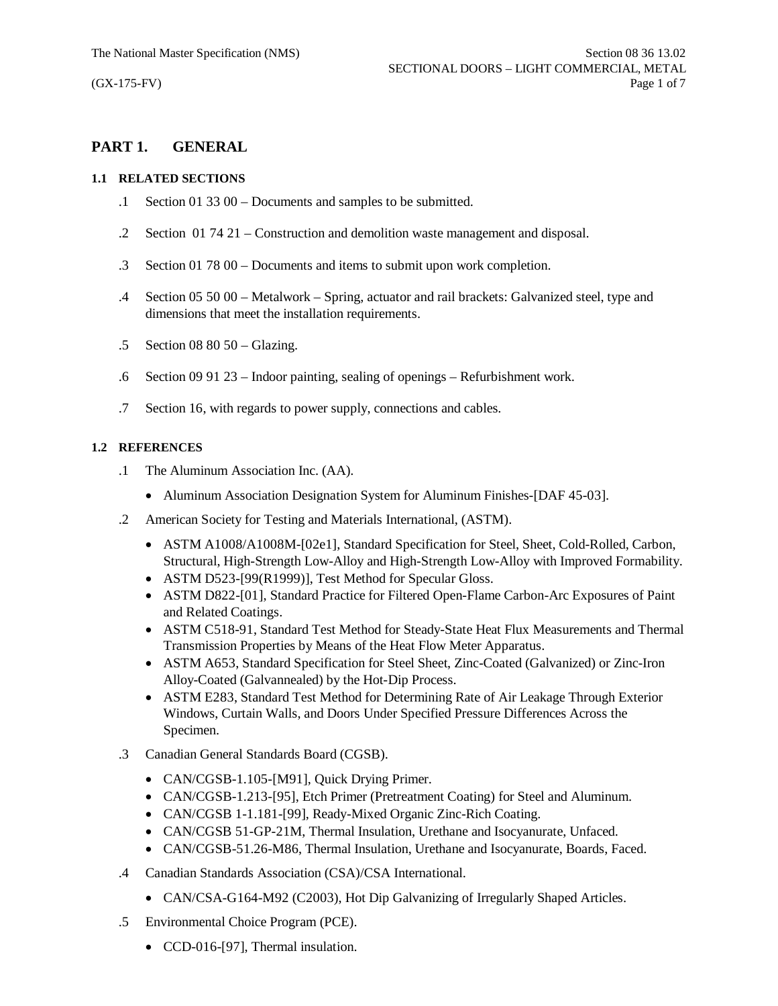# **PART 1. GENERAL**

## **1.1 RELATED SECTIONS**

- .1 Section 01 33 00 Documents and samples to be submitted.
- .2 Section 01 74 21 Construction and demolition waste management and disposal.
- .3 Section 01 78 00 Documents and items to submit upon work completion.
- .4 Section 05 50 00 Metalwork Spring, actuator and rail brackets: Galvanized steel, type and dimensions that meet the installation requirements.
- .5 Section 08 80 50 Glazing.
- .6 Section 09 91 23 Indoor painting, sealing of openings Refurbishment work.
- .7 Section 16, with regards to power supply, connections and cables.

## **1.2 REFERENCES**

- .1 The Aluminum Association Inc. (AA).
	- Aluminum Association Designation System for Aluminum Finishes-[DAF 45-03].
- .2 American Society for Testing and Materials International, (ASTM).
	- · ASTM A1008/A1008M-[02e1], Standard Specification for Steel, Sheet, Cold-Rolled, Carbon, Structural, High-Strength Low-Alloy and High-Strength Low-Alloy with Improved Formability.
	- ASTM D523-[99(R1999)], Test Method for Specular Gloss.
	- · ASTM D822-[01], Standard Practice for Filtered Open-Flame Carbon-Arc Exposures of Paint and Related Coatings.
	- · ASTM C518-91, Standard Test Method for Steady-State Heat Flux Measurements and Thermal Transmission Properties by Means of the Heat Flow Meter Apparatus.
	- · ASTM A653, Standard Specification for Steel Sheet, Zinc-Coated (Galvanized) or Zinc-Iron Alloy-Coated (Galvannealed) by the Hot-Dip Process.
	- · ASTM E283, Standard Test Method for Determining Rate of Air Leakage Through Exterior Windows, Curtain Walls, and Doors Under Specified Pressure Differences Across the Specimen.
- .3 Canadian General Standards Board (CGSB).
	- CAN/CGSB-1.105-[M91], Quick Drying Primer.
	- · CAN/CGSB-1.213-[95], Etch Primer (Pretreatment Coating) for Steel and Aluminum.
	- · CAN/CGSB 1-1.181-[99], Ready-Mixed Organic Zinc-Rich Coating.
	- · CAN/CGSB 51-GP-21M, Thermal Insulation, Urethane and Isocyanurate, Unfaced.
	- · CAN/CGSB-51.26-M86, Thermal Insulation, Urethane and Isocyanurate, Boards, Faced.
- .4 Canadian Standards Association (CSA)/CSA International.
	- CAN/CSA-G164-M92 (C2003), Hot Dip Galvanizing of Irregularly Shaped Articles.
- .5 Environmental Choice Program (PCE).
	- CCD-016-[97], Thermal insulation.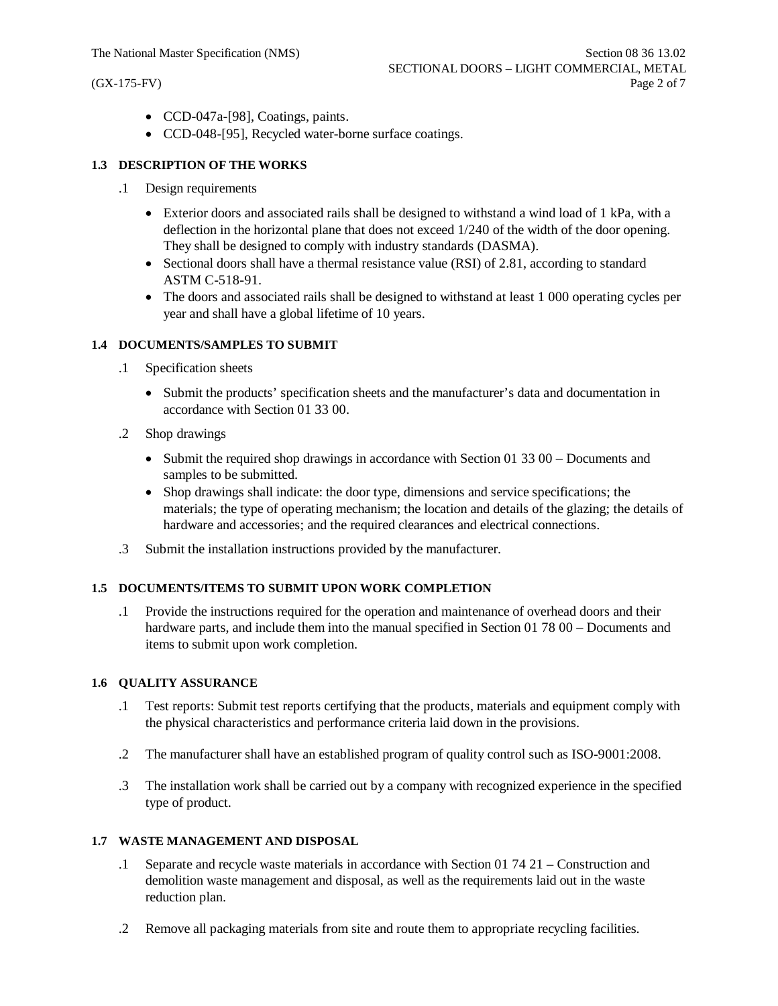- · CCD-047a-[98], Coatings, paints.
- · CCD-048-[95], Recycled water-borne surface coatings.

## **1.3 DESCRIPTION OF THE WORKS**

- .1 Design requirements
	- Exterior doors and associated rails shall be designed to withstand a wind load of 1 kPa, with a deflection in the horizontal plane that does not exceed 1/240 of the width of the door opening. They shall be designed to comply with industry standards (DASMA).
	- Sectional doors shall have a thermal resistance value (RSI) of 2.81, according to standard ASTM C-518-91.
	- The doors and associated rails shall be designed to withstand at least 1 000 operating cycles per year and shall have a global lifetime of 10 years.

### **1.4 DOCUMENTS/SAMPLES TO SUBMIT**

- .1 Specification sheets
	- · Submit the products' specification sheets and the manufacturer's data and documentation in accordance with Section 01 33 00.
- .2 Shop drawings
	- Submit the required shop drawings in accordance with Section 01 33 00 Documents and samples to be submitted.
	- · Shop drawings shall indicate: the door type, dimensions and service specifications; the materials; the type of operating mechanism; the location and details of the glazing; the details of hardware and accessories; and the required clearances and electrical connections.
- .3 Submit the installation instructions provided by the manufacturer.

## **1.5 DOCUMENTS/ITEMS TO SUBMIT UPON WORK COMPLETION**

.1 Provide the instructions required for the operation and maintenance of overhead doors and their hardware parts, and include them into the manual specified in Section 01 78 00 – Documents and items to submit upon work completion.

#### **1.6 QUALITY ASSURANCE**

- .1 Test reports: Submit test reports certifying that the products, materials and equipment comply with the physical characteristics and performance criteria laid down in the provisions.
- .2 The manufacturer shall have an established program of quality control such as ISO-9001:2008.
- .3 The installation work shall be carried out by a company with recognized experience in the specified type of product.

### **1.7 WASTE MANAGEMENT AND DISPOSAL**

- .1 Separate and recycle waste materials in accordance with Section 01 74 21 Construction and demolition waste management and disposal, as well as the requirements laid out in the waste reduction plan.
- .2 Remove all packaging materials from site and route them to appropriate recycling facilities.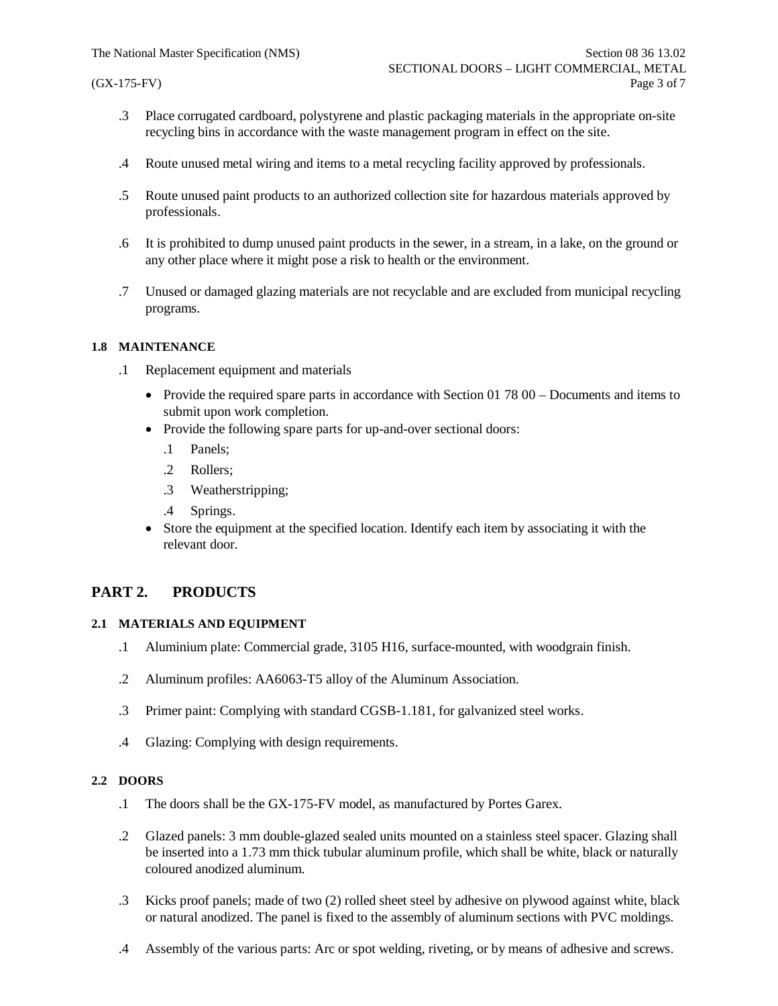- .3 Place corrugated cardboard, polystyrene and plastic packaging materials in the appropriate on-site recycling bins in accordance with the waste management program in effect on the site.
- .4 Route unused metal wiring and items to a metal recycling facility approved by professionals.
- .5 Route unused paint products to an authorized collection site for hazardous materials approved by professionals.
- .6 It is prohibited to dump unused paint products in the sewer, in a stream, in a lake, on the ground or any other place where it might pose a risk to health or the environment.
- .7 Unused or damaged glazing materials are not recyclable and are excluded from municipal recycling programs.

### **1.8 MAINTENANCE**

- .1 Replacement equipment and materials
	- Provide the required spare parts in accordance with Section 01 78 00 Documents and items to submit upon work completion.
	- Provide the following spare parts for up-and-over sectional doors:
		- .1 Panels;
		- .2 Rollers;
		- .3 Weatherstripping;
		- .4 Springs.
	- · Store the equipment at the specified location. Identify each item by associating it with the relevant door.

## **PART 2. PRODUCTS**

#### **2.1 MATERIALS AND EQUIPMENT**

- .1 Aluminium plate: Commercial grade, 3105 H16, surface-mounted, with woodgrain finish.
- .2 Aluminum profiles: AA6063-T5 alloy of the Aluminum Association.
- .3 Primer paint: Complying with standard CGSB-1.181, for galvanized steel works.
- .4 Glazing: Complying with design requirements.

## **2.2 DOORS**

- .1 The doors shall be the GX-175-FV model, as manufactured by Portes Garex.
- .2 Glazed panels: 3 mm double-glazed sealed units mounted on a stainless steel spacer. Glazing shall be inserted into a 1.73 mm thick tubular aluminum profile, which shall be white, black or naturally coloured anodized aluminum.
- .3 Kicks proof panels; made of two (2) rolled sheet steel by adhesive on plywood against white, black or natural anodized. The panel is fixed to the assembly of aluminum sections with PVC moldings.
- .4 Assembly of the various parts: Arc or spot welding, riveting, or by means of adhesive and screws.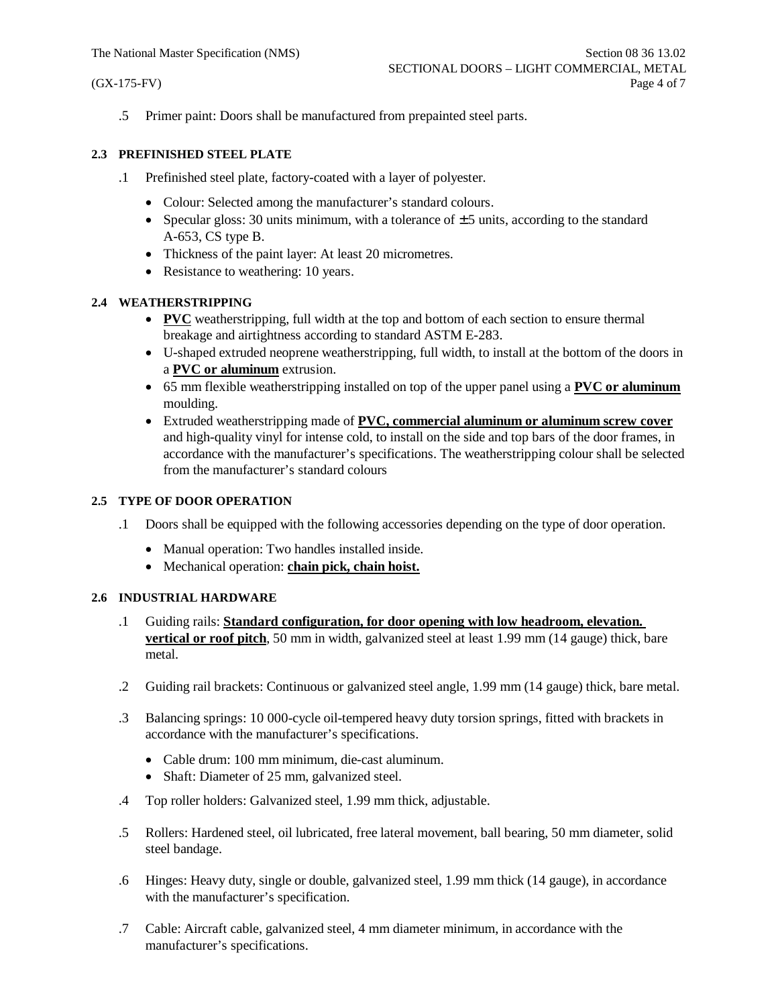.5 Primer paint: Doors shall be manufactured from prepainted steel parts.

## **2.3 PREFINISHED STEEL PLATE**

- .1 Prefinished steel plate, factory-coated with a layer of polyester.
	- · Colour: Selected among the manufacturer's standard colours.
	- Specular gloss: 30 units minimum, with a tolerance of  $\pm$  5 units, according to the standard A-653, CS type B.
	- Thickness of the paint layer: At least 20 micrometres.
	- Resistance to weathering: 10 years.

## **2.4 WEATHERSTRIPPING**

- **PVC** weatherstripping, full width at the top and bottom of each section to ensure thermal breakage and airtightness according to standard ASTM E-283.
- · U-shaped extruded neoprene weatherstripping, full width, to install at the bottom of the doors in a **PVC or aluminum** extrusion.
- · 65 mm flexible weatherstripping installed on top of the upper panel using a **PVC or aluminum** moulding.
- · Extruded weatherstripping made of **PVC, commercial aluminum or aluminum screw cover** and high-quality vinyl for intense cold, to install on the side and top bars of the door frames, in accordance with the manufacturer's specifications. The weatherstripping colour shall be selected from the manufacturer's standard colours

## **2.5 TYPE OF DOOR OPERATION**

- .1 Doors shall be equipped with the following accessories depending on the type of door operation.
	- Manual operation: Two handles installed inside.
	- · Mechanical operation: **chain pick, chain hoist.**

## **2.6 INDUSTRIAL HARDWARE**

- .1 Guiding rails: **Standard configuration, for door opening with low headroom, elevation. vertical or roof pitch**, 50 mm in width, galvanized steel at least 1.99 mm (14 gauge) thick, bare metal.
- .2 Guiding rail brackets: Continuous or galvanized steel angle, 1.99 mm (14 gauge) thick, bare metal.
- .3 Balancing springs: 10 000-cycle oil-tempered heavy duty torsion springs, fitted with brackets in accordance with the manufacturer's specifications.
	- · Cable drum: 100 mm minimum, die-cast aluminum.
	- Shaft: Diameter of 25 mm, galvanized steel.
- .4 Top roller holders: Galvanized steel, 1.99 mm thick, adjustable.
- .5 Rollers: Hardened steel, oil lubricated, free lateral movement, ball bearing, 50 mm diameter, solid steel bandage.
- .6 Hinges: Heavy duty, single or double, galvanized steel, 1.99 mm thick (14 gauge), in accordance with the manufacturer's specification.
- .7 Cable: Aircraft cable, galvanized steel, 4 mm diameter minimum, in accordance with the manufacturer's specifications.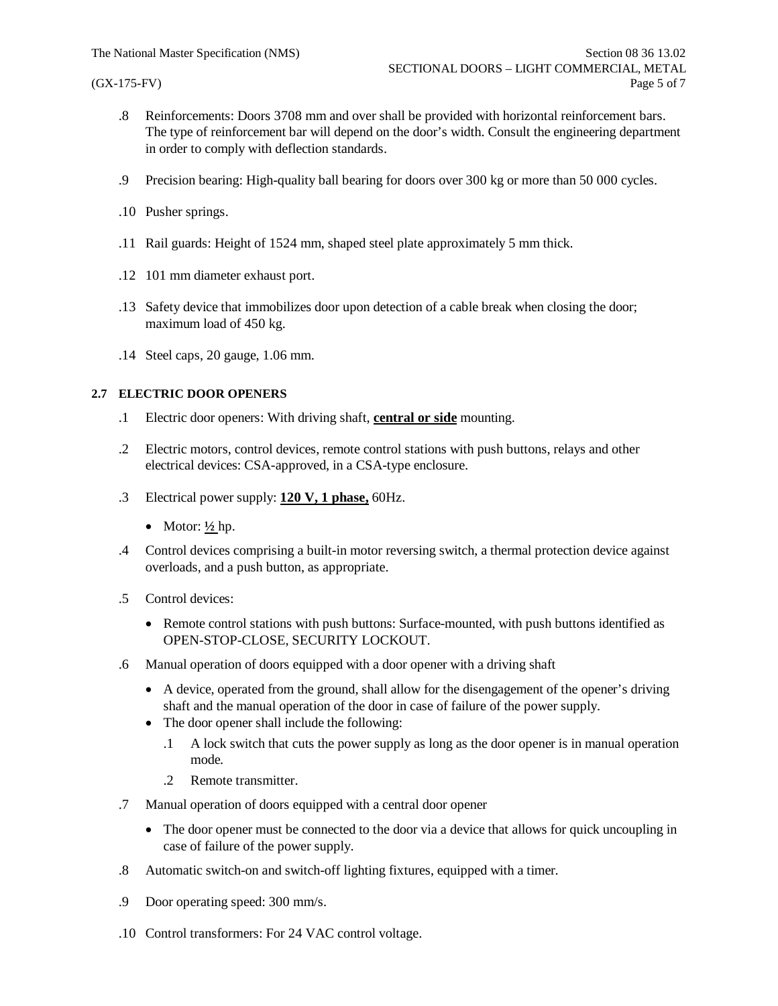- .8 Reinforcements: Doors 3708 mm and over shall be provided with horizontal reinforcement bars. The type of reinforcement bar will depend on the door's width. Consult the engineering department in order to comply with deflection standards.
- .9 Precision bearing: High-quality ball bearing for doors over 300 kg or more than 50 000 cycles.
- .10 Pusher springs.
- .11 Rail guards: Height of 1524 mm, shaped steel plate approximately 5 mm thick.
- .12 101 mm diameter exhaust port.
- .13 Safety device that immobilizes door upon detection of a cable break when closing the door; maximum load of 450 kg.
- .14 Steel caps, 20 gauge, 1.06 mm.

### **2.7 ELECTRIC DOOR OPENERS**

- .1 Electric door openers: With driving shaft, **central or side** mounting.
- .2 Electric motors, control devices, remote control stations with push buttons, relays and other electrical devices: CSA-approved, in a CSA-type enclosure.
- .3 Electrical power supply: **120 V, 1 phase,** 60Hz.
	- Motor:  $\frac{1}{2}$  hp.
- .4 Control devices comprising a built-in motor reversing switch, a thermal protection device against overloads, and a push button, as appropriate.
- .5 Control devices:
	- · Remote control stations with push buttons: Surface-mounted, with push buttons identified as OPEN-STOP-CLOSE, SECURITY LOCKOUT.
- .6 Manual operation of doors equipped with a door opener with a driving shaft
	- · A device, operated from the ground, shall allow for the disengagement of the opener's driving shaft and the manual operation of the door in case of failure of the power supply.
	- The door opener shall include the following:
		- .1 A lock switch that cuts the power supply as long as the door opener is in manual operation mode.
		- .2 Remote transmitter.
- .7 Manual operation of doors equipped with a central door opener
	- · The door opener must be connected to the door via a device that allows for quick uncoupling in case of failure of the power supply.
- .8 Automatic switch-on and switch-off lighting fixtures, equipped with a timer.
- .9 Door operating speed: 300 mm/s.
- .10 Control transformers: For 24 VAC control voltage.